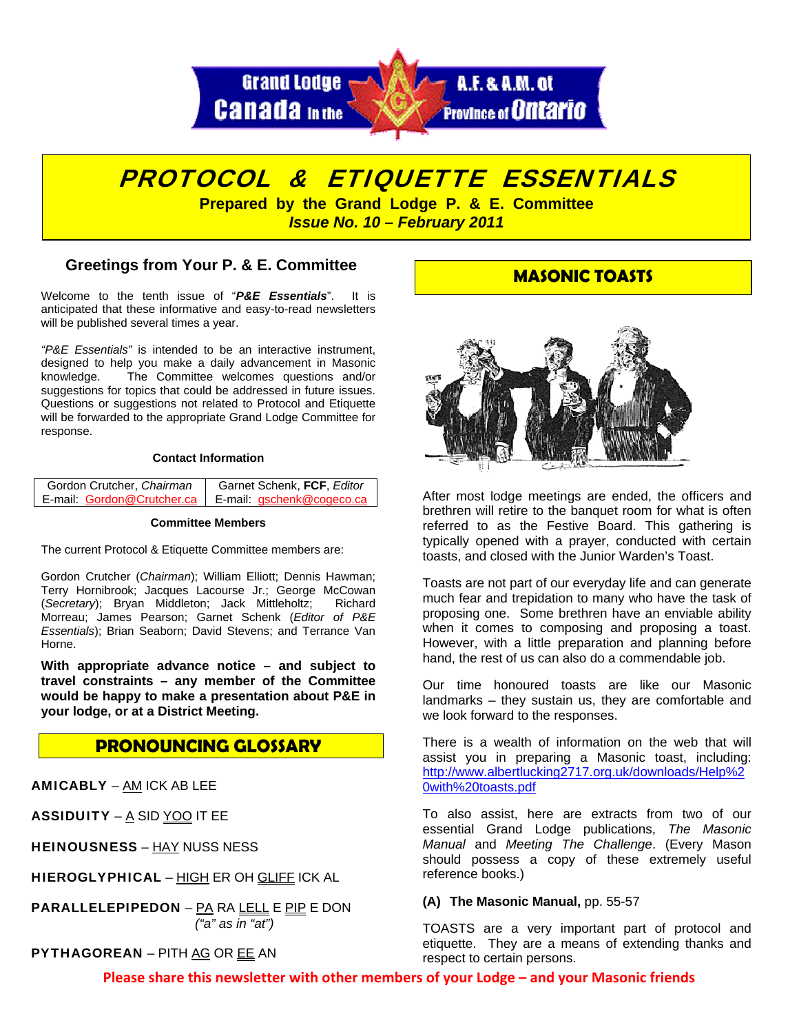

# PROTOCOL & ETIQUETTE ESSENTIALS

**Prepared by the Grand Lodge P. & E. Committee**  *Issue No. 10 – February 2011* 

# **Greetings from Your P. & E. Committee**

Welcome to the tenth issue of "*P&E Essentials*". It is anticipated that these informative and easy-to-read newsletters will be published several times a year.

*"P&E Essentials"* is intended to be an interactive instrument, designed to help you make a daily advancement in Masonic knowledge. The Committee welcomes questions and/or suggestions for topics that could be addressed in future issues. Questions or suggestions not related to Protocol and Etiquette will be forwarded to the appropriate Grand Lodge Committee for response.

## **Contact Information**

| Gordon Crutcher, Chairman  | Garnet Schenk, FCF, Editor |
|----------------------------|----------------------------|
| E-mail: Gordon@Crutcher.ca | E-mail: gschenk@cogeco.ca  |

#### **Committee Members**

The current Protocol & Etiquette Committee members are:

Gordon Crutcher (*Chairman*); William Elliott; Dennis Hawman; Terry Hornibrook; Jacques Lacourse Jr.; George McCowan (*Secretary*); Bryan Middleton; Jack Mittleholtz; Richard Morreau; James Pearson; Garnet Schenk (*Editor of P&E Essentials*); Brian Seaborn; David Stevens; and Terrance Van Horne.

**With appropriate advance notice – and subject to travel constraints – any member of the Committee would be happy to make a presentation about P&E in your lodge, or at a District Meeting.**

# **PRONOUNCING GLOSSARY**

AMICABLY – AM ICK AB LEE

ASSIDUITY –  $\underline{A}$  SID YOO IT EE

HEINOUSNESS – HAY NUSS NESS

HIEROGLYPHICAL – HIGH ER OH GLIFF ICK AL

PARALLELEPIPEDON – PA RA LELL E PIP E DON  *("a" as in "at")* 

# PYTHAGOREAN – PITH AG OR EE AN

# **MASONIC TOASTS**



After most lodge meetings are ended, the officers and brethren will retire to the banquet room for what is often referred to as the Festive Board. This gathering is typically opened with a prayer, conducted with certain toasts, and closed with the Junior Warden's Toast.

Toasts are not part of our everyday life and can generate much fear and trepidation to many who have the task of proposing one. Some brethren have an enviable ability when it comes to composing and proposing a toast. However, with a little preparation and planning before hand, the rest of us can also do a commendable job.

Our time honoured toasts are like our Masonic landmarks – they sustain us, they are comfortable and we look forward to the responses.

There is a wealth of information on the web that will assist you in preparing a Masonic toast, including: [http://www.albertlucking2717.org.uk/downloads/Help%2](http://www.albertlucking2717.org.uk/downloads/Help%20with%20toasts.pdf) [0with%20toasts.pdf](http://www.albertlucking2717.org.uk/downloads/Help%20with%20toasts.pdf) 

To also assist, here are extracts from two of our essential Grand Lodge publications, *The Masonic Manual* and *Meeting The Challenge*. (Every Mason should possess a copy of these extremely useful reference books.)

## **(A) The Masonic Manual,** pp. 55-57

TOASTS are a very important part of protocol and etiquette. They are a means of extending thanks and respect to certain persons.

**Please share this newsletter with other members of your Lodge – and your Masonic friends**